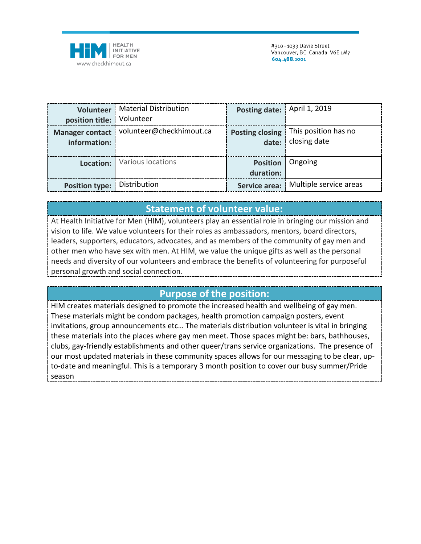

|                                        | <b>Volunteer</b>   Material Distribution | Posting date: April 1, 2019          |                                                              |
|----------------------------------------|------------------------------------------|--------------------------------------|--------------------------------------------------------------|
| position title: Volunteer              |                                          |                                      |                                                              |
| <b>Manager contact</b><br>information: | volunteer@checkhimout.ca                 |                                      | Posting closing   This position has no<br>date: closing date |
|                                        | Location: Various locations              | <b>Position</b> Ongoing<br>duration: |                                                              |
| Position type:   Distribution          |                                          |                                      | Service area:   Multiple service areas                       |

## **Statement of volunteer value:**

At Health Initiative for Men (HIM), volunteers play an essential role in bringing our mission and vision to life. We value volunteers for their roles as ambassadors, mentors, board directors, leaders, supporters, educators, advocates, and as members of the community of gay men and other men who have sex with men. At HIM, we value the unique gifts as well as the personal needs and diversity of our volunteers and embrace the benefits of volunteering for purposeful personal growth and social connection.

## **Purpose of the position:**

HIM creates materials designed to promote the increased health and wellbeing of gay men. These materials might be condom packages, health promotion campaign posters, event invitations, group announcements etc… The materials distribution volunteer is vital in bringing these materials into the places where gay men meet. Those spaces might be: bars, bathhouses, clubs, gay-friendly establishments and other queer/trans service organizations. The presence of our most updated materials in these community spaces allows for our messaging to be clear, upto-date and meaningful. This is a temporary 3 month position to cover our busy summer/Pride season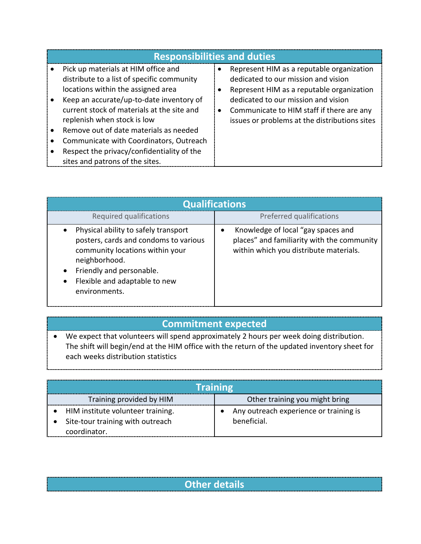| <b>Responsibilities and duties</b>                                                                                                                                  |           |                                                                                                                                                                      |  |  |  |
|---------------------------------------------------------------------------------------------------------------------------------------------------------------------|-----------|----------------------------------------------------------------------------------------------------------------------------------------------------------------------|--|--|--|
| Pick up materials at HIM office and<br>distribute to a list of specific community<br>locations within the assigned area<br>Keep an accurate/up-to-date inventory of |           | Represent HIM as a reputable organization<br>dedicated to our mission and vision<br>Represent HIM as a reputable organization<br>dedicated to our mission and vision |  |  |  |
| current stock of materials at the site and<br>replenish when stock is low                                                                                           | $\bullet$ | Communicate to HIM staff if there are any<br>issues or problems at the distributions sites                                                                           |  |  |  |
| Remove out of date materials as needed                                                                                                                              |           |                                                                                                                                                                      |  |  |  |
| Communicate with Coordinators, Outreach                                                                                                                             |           |                                                                                                                                                                      |  |  |  |
| Respect the privacy/confidentiality of the<br>sites and patrons of the sites.                                                                                       |           |                                                                                                                                                                      |  |  |  |

| <b>Qualifications</b>                                                                                                                                                                                           |                                                                                                                            |  |  |  |
|-----------------------------------------------------------------------------------------------------------------------------------------------------------------------------------------------------------------|----------------------------------------------------------------------------------------------------------------------------|--|--|--|
| Required qualifications                                                                                                                                                                                         | Preferred qualifications                                                                                                   |  |  |  |
| Physical ability to safely transport<br>posters, cards and condoms to various<br>community locations within your<br>neighborhood.<br>Friendly and personable.<br>Flexible and adaptable to new<br>environments. | Knowledge of local "gay spaces and<br>places" and familiarity with the community<br>within which you distribute materials. |  |  |  |

## **Commitment expected**

**WE EXPECT THAT WE EXPECT THAT VIOLET SPEED ASSESS** WILL Spend approximately 2 hours per week doing distribution. The shift will begin/end at the HIM office with the return of the updated inventory sheet for each weeks distribution statistics

| <b>Training</b>                                                                       |                                                       |  |  |  |
|---------------------------------------------------------------------------------------|-------------------------------------------------------|--|--|--|
| Training provided by HIM                                                              | Other training you might bring                        |  |  |  |
| HIM institute volunteer training.<br>Site-tour training with outreach<br>coordinator. | Any outreach experience or training is<br>beneficial. |  |  |  |